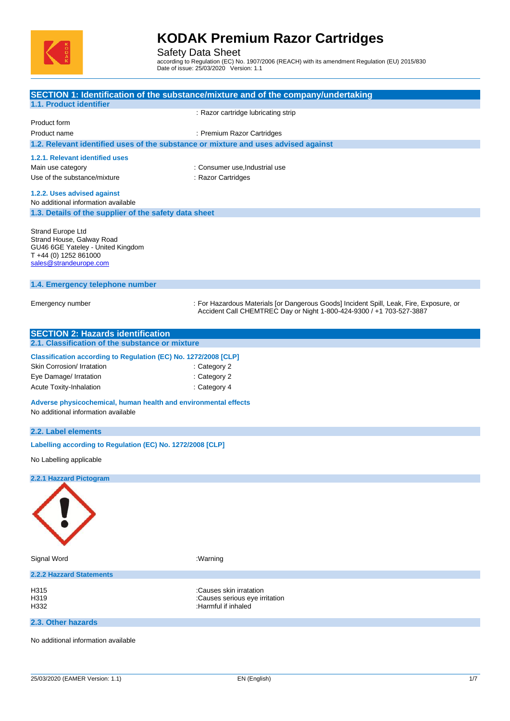

Safety Data Sheet

according to Regulation (EC) No. 1907/2006 (REACH) with its amendment Regulation (EU) 2015/830 Date of issue: 25/03/2020 Version: 1.1

|                                                                                                                                        | SECTION 1: Identification of the substance/mixture and of the company/undertaking                                                                               |
|----------------------------------------------------------------------------------------------------------------------------------------|-----------------------------------------------------------------------------------------------------------------------------------------------------------------|
| 1.1. Product identifier                                                                                                                |                                                                                                                                                                 |
| Product form                                                                                                                           | : Razor cartridge lubricating strip                                                                                                                             |
| Product name                                                                                                                           | : Premium Razor Cartridges                                                                                                                                      |
| 1.2. Relevant identified uses of the substance or mixture and uses advised against                                                     |                                                                                                                                                                 |
|                                                                                                                                        |                                                                                                                                                                 |
| 1.2.1. Relevant identified uses<br>Main use category                                                                                   | : Consumer use, Industrial use                                                                                                                                  |
| Use of the substance/mixture                                                                                                           | : Razor Cartridges                                                                                                                                              |
|                                                                                                                                        |                                                                                                                                                                 |
| 1.2.2. Uses advised against<br>No additional information available                                                                     |                                                                                                                                                                 |
| 1.3. Details of the supplier of the safety data sheet                                                                                  |                                                                                                                                                                 |
|                                                                                                                                        |                                                                                                                                                                 |
| Strand Europe Ltd<br>Strand House, Galway Road<br>GU46 6GE Yateley - United Kingdom<br>T +44 (0) 1252 861000<br>sales@strandeurope.com |                                                                                                                                                                 |
| 1.4. Emergency telephone number                                                                                                        |                                                                                                                                                                 |
| Emergency number                                                                                                                       | : For Hazardous Materials [or Dangerous Goods] Incident Spill, Leak, Fire, Exposure, or<br>Accident Call CHEMTREC Day or Night 1-800-424-9300 / +1 703-527-3887 |
| <b>SECTION 2: Hazards identification</b>                                                                                               |                                                                                                                                                                 |
| 2.1. Classification of the substance or mixture                                                                                        |                                                                                                                                                                 |
| Classification according to Regulation (EC) No. 1272/2008 [CLP]                                                                        |                                                                                                                                                                 |
| Skin Corrosion/ Irratation                                                                                                             | : Category 2                                                                                                                                                    |
| Eye Damage/ Irratation                                                                                                                 | : Category 2                                                                                                                                                    |
| Acute Toxity-Inhalation                                                                                                                | : Category 4                                                                                                                                                    |
| Adverse physicochemical, human health and environmental effects<br>No additional information available                                 |                                                                                                                                                                 |
| 2.2. Label elements                                                                                                                    |                                                                                                                                                                 |
| Labelling according to Regulation (EC) No. 1272/2008 [CLP]                                                                             |                                                                                                                                                                 |
| No Labelling applicable                                                                                                                |                                                                                                                                                                 |
| 2.2.1 Hazzard Pictogram                                                                                                                |                                                                                                                                                                 |
|                                                                                                                                        |                                                                                                                                                                 |
| Signal Word                                                                                                                            | :Warning                                                                                                                                                        |
| <b>2.2.2 Hazzard Statements</b>                                                                                                        |                                                                                                                                                                 |
| H315<br>H319<br>H332                                                                                                                   | :Causes skin irratation<br>:Causes serious eye irritation<br>:Harmful if inhaled                                                                                |
| 2.3. Other hazards                                                                                                                     |                                                                                                                                                                 |
| No additional information available                                                                                                    |                                                                                                                                                                 |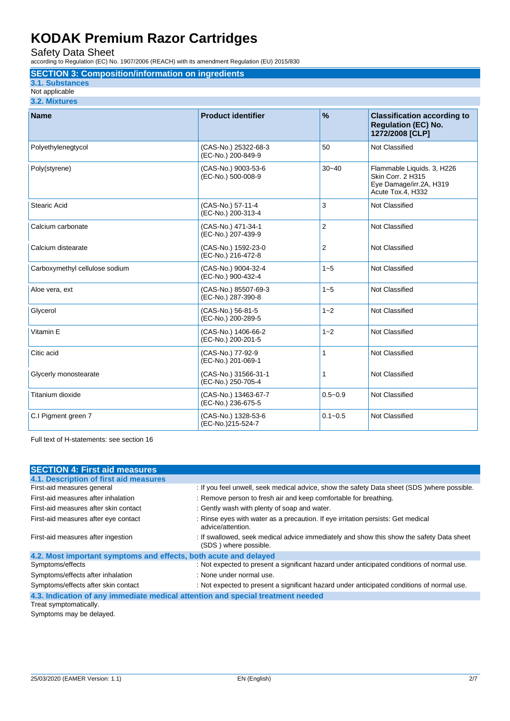Safety Data Sheet

according to Regulation (EC) No. 1907/2006 (REACH) with its amendment Regulation (EU) 2015/830

# **SECTION 3: Composition/information on ingredients**

## **3.1. Substances**

Not applicable **3.2. Mixtures**

| <b>Name</b>                    | <b>Product identifier</b>                  | $\frac{9}{6}$ | <b>Classification according to</b><br><b>Regulation (EC) No.</b><br>1272/2008 [CLP]             |
|--------------------------------|--------------------------------------------|---------------|-------------------------------------------------------------------------------------------------|
| Polyethylenegtycol             | (CAS-No.) 25322-68-3<br>(EC-No.) 200-849-9 | 50            | Not Classified                                                                                  |
| Poly(styrene)                  | (CAS-No.) 9003-53-6<br>(EC-No.) 500-008-9  | $30 - 40$     | Flammable Liquids. 3, H226<br>Skin Corr. 2 H315<br>Eye Damage/irr.2A, H319<br>Acute Tox.4, H332 |
| Stearic Acid                   | (CAS-No.) 57-11-4<br>(EC-No.) 200-313-4    | 3             | Not Classified                                                                                  |
| Calcium carbonate              | (CAS-No.) 471-34-1<br>(EC-No.) 207-439-9   | 2             | Not Classified                                                                                  |
| Calcium distearate             | (CAS-No.) 1592-23-0<br>(EC-No.) 216-472-8  | 2             | Not Classified                                                                                  |
| Carboxymethyl cellulose sodium | (CAS-No.) 9004-32-4<br>(EC-No.) 900-432-4  | $1 - 5$       | Not Classified                                                                                  |
| Aloe vera, ext                 | (CAS-No.) 85507-69-3<br>(EC-No.) 287-390-8 | $1 - 5$       | Not Classified                                                                                  |
| Glycerol                       | (CAS-No.) 56-81-5<br>(EC-No.) 200-289-5    | $1 - 2$       | Not Classified                                                                                  |
| Vitamin E                      | (CAS-No.) 1406-66-2<br>(EC-No.) 200-201-5  | $1 - 2$       | Not Classified                                                                                  |
| Citic acid                     | (CAS-No.) 77-92-9<br>(EC-No.) 201-069-1    | 1             | Not Classified                                                                                  |
| Glycerly monostearate          | (CAS-No.) 31566-31-1<br>(EC-No.) 250-705-4 | $\mathbf{1}$  | Not Classified                                                                                  |
| Titanium dioxide               | (CAS-No.) 13463-67-7<br>(EC-No.) 236-675-5 | $0.5 - 0.9$   | Not Classified                                                                                  |
| C.I Pigment green 7            | (CAS-No.) 1328-53-6<br>(EC-No.)215-524-7   | $0.1 - 0.5$   | Not Classified                                                                                  |

Full text of H-statements: see section 16

| <b>SECTION 4: First aid measures</b>                                            |                                                                                                                   |
|---------------------------------------------------------------------------------|-------------------------------------------------------------------------------------------------------------------|
| 4.1. Description of first aid measures                                          |                                                                                                                   |
| First-aid measures general                                                      | : If you feel unwell, seek medical advice, show the safety Data sheet (SDS) where possible.                       |
| First-aid measures after inhalation                                             | : Remove person to fresh air and keep comfortable for breathing.                                                  |
| First-aid measures after skin contact                                           | : Gently wash with plenty of soap and water.                                                                      |
| First-aid measures after eye contact                                            | : Rinse eyes with water as a precaution. If eye irritation persists: Get medical<br>advice/attention.             |
| First-aid measures after ingestion                                              | : If swallowed, seek medical advice immediately and show this show the safety Data sheet<br>(SDS) where possible. |
| 4.2. Most important symptoms and effects, both acute and delayed                |                                                                                                                   |
| Symptoms/effects                                                                | : Not expected to present a significant hazard under anticipated conditions of normal use.                        |
| Symptoms/effects after inhalation                                               | : None under normal use.                                                                                          |
| Symptoms/effects after skin contact                                             | : Not expected to present a significant hazard under anticipated conditions of normal use.                        |
| 4.3. Indication of any immediate medical attention and special treatment needed |                                                                                                                   |
| Treat symptomatically.                                                          |                                                                                                                   |

Symptoms may be delayed.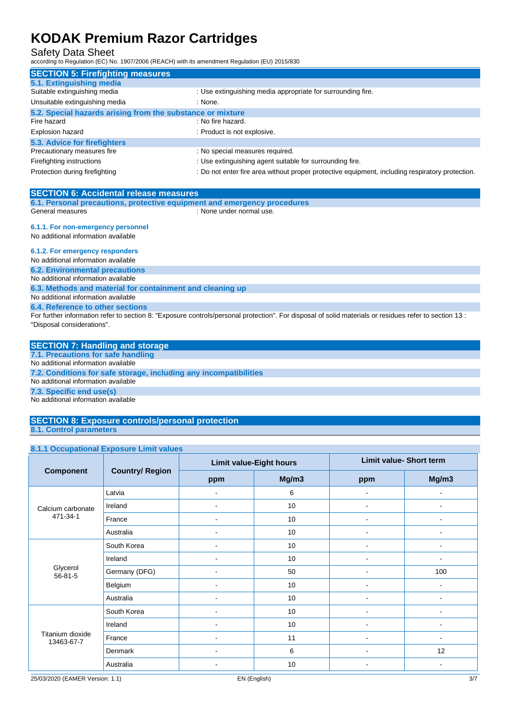## Safety Data Sheet

according to Regulation (EC) No. 1907/2006 (REACH) with its amendment Regulation (EU) 2015/830

| <b>SECTION 5: Firefighting measures</b>                    |                                                                                                 |
|------------------------------------------------------------|-------------------------------------------------------------------------------------------------|
| 5.1. Extinguishing media                                   |                                                                                                 |
| Suitable extinguishing media                               | : Use extinguishing media appropriate for surrounding fire.                                     |
| Unsuitable extinguishing media                             | : None.                                                                                         |
| 5.2. Special hazards arising from the substance or mixture |                                                                                                 |
| Fire hazard                                                | : No fire hazard.                                                                               |
| Explosion hazard                                           | : Product is not explosive.                                                                     |
| 5.3. Advice for firefighters                               |                                                                                                 |
| Precautionary measures fire                                | : No special measures required.                                                                 |
| Firefighting instructions                                  | : Use extinguishing agent suitable for surrounding fire.                                        |
| Protection during firefighting                             | : Do not enter fire area without proper protective equipment, including respiratory protection. |

| <b>SECTION 6: Accidental release measures</b>                            |                          |
|--------------------------------------------------------------------------|--------------------------|
| 6.1. Personal precautions, protective equipment and emergency procedures |                          |
| General measures                                                         | : None under normal use. |

#### **6.1.1. For non-emergency personnel**

No additional information available

# **6.1.2. For emergency responders**

No additional information available

#### **6.2. Environmental precautions** No additional information available

**6.3. Methods and material for containment and cleaning up**

## No additional information available

#### **6.4. Reference to other sections**

For further information refer to section 8: "Exposure controls/personal protection". For disposal of solid materials or residues refer to section 13 : "Disposal considerations".

# **SECTION 7: Handling and storage**

**7.1. Precautions for safe handling**

No additional information available

**7.2. Conditions for safe storage, including any incompatibilities** No additional information available

# **7.3. Specific end use(s)**

No additional information available

#### **SECTION 8: Exposure controls/personal protection 8.1. Control parameters**

## **8.1.1 Occupational Exposure Limit values**

|                                |                        | <b>Limit value-Eight hours</b> |       | <b>Limit value- Short term</b> |                |  |
|--------------------------------|------------------------|--------------------------------|-------|--------------------------------|----------------|--|
| <b>Component</b>               | <b>Country/ Region</b> | ppm                            | Mg/m3 | ppm                            | Mg/m3          |  |
|                                | Latvia                 | ٠                              | 6     | ٠                              |                |  |
| Calcium carbonate              | Ireland                | ۰                              | 10    | ٠                              |                |  |
| 471-34-1                       | France                 | $\blacksquare$                 | 10    | ٠                              | $\blacksquare$ |  |
|                                | Australia              | ٠                              | 10    |                                |                |  |
|                                | South Korea            |                                | 10    |                                |                |  |
|                                | Ireland                | ۰                              | 10    | ۰                              | $\blacksquare$ |  |
| Glycerol<br>$56 - 81 - 5$      | Germany (DFG)          | ۰                              | 50    | ۰                              | 100            |  |
|                                | Belgium                | ۰                              | 10    |                                |                |  |
|                                | Australia              | ٠                              | 10    | ٠                              |                |  |
|                                | South Korea            | $\blacksquare$                 | 10    | ٠                              | $\blacksquare$ |  |
| Titanium dioxide<br>13463-67-7 | Ireland                | ۰                              | 10    | ٠                              | $\blacksquare$ |  |
|                                | France                 | ۰                              | 11    | ۰                              |                |  |
|                                | Denmark                | $\blacksquare$                 | 6     | $\blacksquare$                 | 12             |  |
|                                | Australia              | ۰                              | 10    | $\overline{\phantom{a}}$       | $\blacksquare$ |  |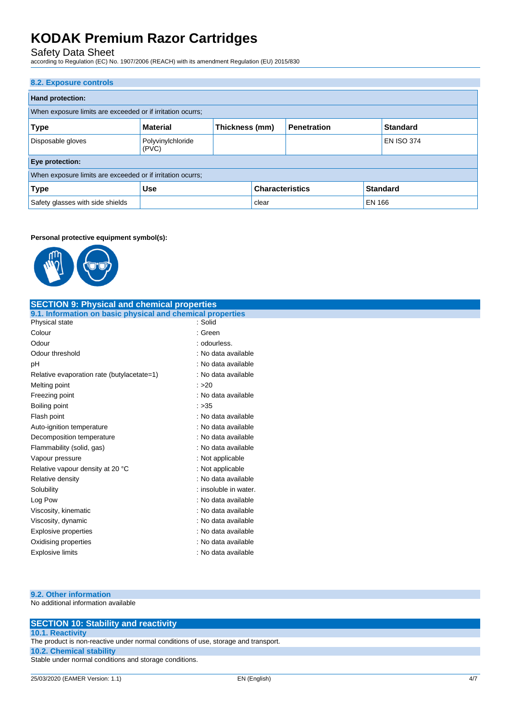Safety Data Sheet

according to Regulation (EC) No. 1907/2006 (REACH) with its amendment Regulation (EU) 2015/830

| 8.2. Exposure controls                                     |                                                         |                |  |                    |  |                   |
|------------------------------------------------------------|---------------------------------------------------------|----------------|--|--------------------|--|-------------------|
| <b>Hand protection:</b>                                    |                                                         |                |  |                    |  |                   |
| When exposure limits are exceeded or if irritation ocurrs; |                                                         |                |  |                    |  |                   |
| <b>Type</b>                                                | <b>Material</b>                                         | Thickness (mm) |  | <b>Penetration</b> |  | <b>Standard</b>   |
| Disposable gloves                                          | Polyvinylchloride<br>(PVC)                              |                |  |                    |  | <b>EN ISO 374</b> |
| Eye protection:                                            |                                                         |                |  |                    |  |                   |
| When exposure limits are exceeded or if irritation ocurrs; |                                                         |                |  |                    |  |                   |
| <b>Type</b>                                                | <b>Characteristics</b><br><b>Standard</b><br><b>Use</b> |                |  |                    |  |                   |
| Safety glasses with side shields<br><b>EN 166</b><br>clear |                                                         |                |  |                    |  |                   |

#### **Personal protective equipment symbol(s):**



| <b>SECTION 9: Physical and chemical properties</b>         |                       |  |  |  |  |
|------------------------------------------------------------|-----------------------|--|--|--|--|
| 9.1. Information on basic physical and chemical properties |                       |  |  |  |  |
| Physical state                                             | : Solid               |  |  |  |  |
| Colour                                                     | : Green               |  |  |  |  |
| Odour                                                      | : odourless.          |  |  |  |  |
| Odour threshold                                            | : No data available   |  |  |  |  |
| pH                                                         | : No data available   |  |  |  |  |
| Relative evaporation rate (butylacetate=1)                 | : No data available   |  |  |  |  |
| Melting point                                              | : >20                 |  |  |  |  |
| Freezing point                                             | : No data available   |  |  |  |  |
| Boiling point                                              | : >35                 |  |  |  |  |
| Flash point                                                | : No data available   |  |  |  |  |
| Auto-ignition temperature                                  | : No data available   |  |  |  |  |
| Decomposition temperature                                  | : No data available   |  |  |  |  |
| Flammability (solid, gas)                                  | : No data available   |  |  |  |  |
| Vapour pressure                                            | : Not applicable      |  |  |  |  |
| Relative vapour density at 20 °C                           | : Not applicable      |  |  |  |  |
| Relative density                                           | : No data available   |  |  |  |  |
| Solubility                                                 | : insoluble in water. |  |  |  |  |
| Log Pow                                                    | : No data available   |  |  |  |  |
| Viscosity, kinematic                                       | : No data available   |  |  |  |  |
| Viscosity, dynamic                                         | : No data available   |  |  |  |  |
| <b>Explosive properties</b>                                | : No data available   |  |  |  |  |
| Oxidising properties                                       | : No data available   |  |  |  |  |
| <b>Explosive limits</b>                                    | : No data available   |  |  |  |  |

## **9.2. Other information**

No additional information available

| <b>SECTION 10: Stability and reactivity</b>                                        |
|------------------------------------------------------------------------------------|
| <b>10.1. Reactivity</b>                                                            |
| The product is non-reactive under normal conditions of use, storage and transport. |
| <b>10.2. Chemical stability</b>                                                    |
| Stable under normal conditions and storage conditions.                             |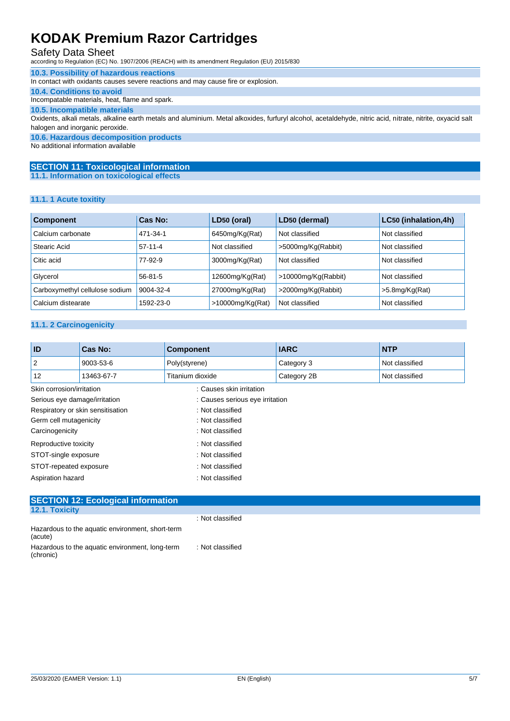# Safety Data Sheet

according to Regulation (EC) No. 1907/2006 (REACH) with its amendment Regulation (EU) 2015/830

## **10.3. Possibility of hazardous reactions**

In contact with oxidants causes severe reactions and may cause fire or explosion.

**10.4. Conditions to avoid** Incompatable materials, heat, flame and spark.

### **10.5. Incompatible materials**

Oxidents, alkali metals, alkaline earth metals and aluminium. Metal alkoxides, furfuryl alcohol, acetaldehyde, nitric acid, nitrate, nitrite, oxyacid salt halogen and inorganic peroxide.

**10.6. Hazardous decomposition products**

No additional information available

#### **SECTION 11: Toxicological information 11.1. Information on toxicological effects**

#### **11.1. 1 Acute toxitity**

| <b>Component</b>               | Cas No:       | LD50 (oral)         | LD50 (dermal)       | LC50 (inhalation, 4h) |
|--------------------------------|---------------|---------------------|---------------------|-----------------------|
| Calcium carbonate              | 471-34-1      | 6450mg/Kg(Rat)      | Not classified      | Not classified        |
| Stearic Acid                   | $57-11-4$     | Not classified      | >5000mg/Kg(Rabbit)  | Not classified        |
| Citic acid                     | 77-92-9       | 3000mg/Kg(Rat)      | Not classified      | Not classified        |
| Glycerol                       | $56 - 81 - 5$ | 12600mg/Kg(Rat)     | >10000mg/Kg(Rabbit) | Not classified        |
| Carboxymethyl cellulose sodium | 9004-32-4     | 27000mg/Kg(Rat)     | >2000mg/Kg(Rabbit)  | $>5.8$ mg/Kg(Rat)     |
| Calcium distearate             | 1592-23-0     | $>10000$ mg/Kg(Rat) | Not classified      | Not classified        |

#### **11.1. 2 Carcinogenicity**

| <b>ID</b>                                 | Cas No:                           | <b>Component</b>                | <b>IARC</b> | <b>NTP</b>     |  |
|-------------------------------------------|-----------------------------------|---------------------------------|-------------|----------------|--|
| 2                                         | 9003-53-6                         | Poly(styrene)                   | Category 3  | Not classified |  |
| 12                                        | 13463-67-7                        | Titanium dioxide                | Category 2B | Not classified |  |
| Skin corrosion/irritation                 |                                   | : Causes skin irritation        |             |                |  |
| Serious eye damage/irritation             |                                   | : Causes serious eye irritation |             |                |  |
|                                           | Respiratory or skin sensitisation | : Not classified                |             |                |  |
| Germ cell mutagenicity                    |                                   | : Not classified                |             |                |  |
| Carcinogenicity                           |                                   | : Not classified                |             |                |  |
| Reproductive toxicity<br>: Not classified |                                   |                                 |             |                |  |
| STOT-single exposure<br>: Not classified  |                                   |                                 |             |                |  |
| STOT-repeated exposure                    | : Not classified                  |                                 |             |                |  |
| Aspiration hazard<br>: Not classified     |                                   |                                 |             |                |  |

| <b>SECTION 12: Ecological information</b>                    |                  |  |
|--------------------------------------------------------------|------------------|--|
| 12.1. Toxicity                                               |                  |  |
|                                                              | : Not classified |  |
| Hazardous to the aquatic environment, short-term<br>(acute)  |                  |  |
| Hazardous to the aquatic environment, long-term<br>(chronic) | : Not classified |  |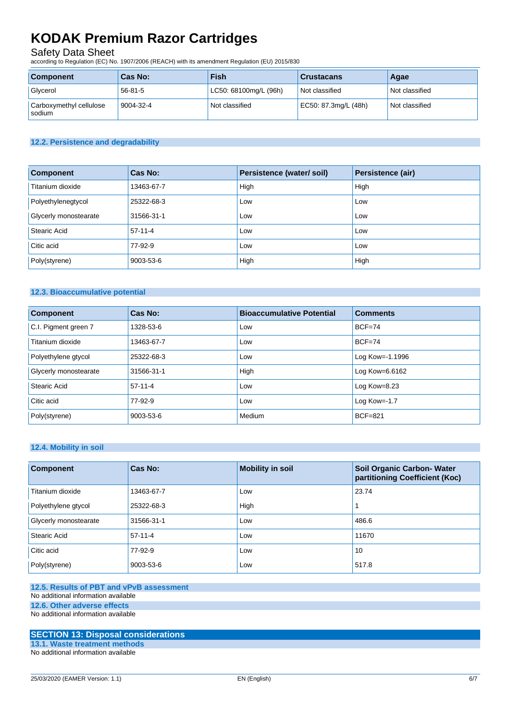# Safety Data Sheet

according to Regulation (EC) No. 1907/2006 (REACH) with its amendment Regulation (EU) 2015/830

| <b>Component</b>                  | Cas No:   | <b>Fish</b>           | <b>Crustacans</b>    | Agae           |
|-----------------------------------|-----------|-----------------------|----------------------|----------------|
| Glycerol                          | 56-81-5   | LC50: 68100mg/L (96h) | Not classified       | Not classified |
| Carboxymethyl cellulose<br>sodium | 9004-32-4 | Not classified        | EC50: 87.3mg/L (48h) | Not classified |

### **12.2. Persistence and degradability**

| <b>Component</b>      | <b>Cas No:</b> | Persistence (water/soil) | Persistence (air) |
|-----------------------|----------------|--------------------------|-------------------|
| Titanium dioxide      | 13463-67-7     | High                     | High              |
| Polyethylenegtycol    | 25322-68-3     | Low                      | Low               |
| Glycerly monostearate | 31566-31-1     | Low                      | Low               |
| <b>Stearic Acid</b>   | $57-11-4$      | Low                      | Low               |
| Citic acid            | 77-92-9        | Low                      | Low               |
| Poly(styrene)         | 9003-53-6      | High                     | High              |

## **12.3. Bioaccumulative potential**

| <b>Component</b>      | Cas No:    | <b>Bioaccumulative Potential</b> | <b>Comments</b>    |
|-----------------------|------------|----------------------------------|--------------------|
| C.I. Pigment green 7  | 1328-53-6  | Low                              | $BCF=74$           |
| Titanium dioxide      | 13463-67-7 | Low                              | $BCF=74$           |
| Polyethylene gtycol   | 25322-68-3 | Low                              | Log Kow= $-1.1996$ |
| Glycerly monostearate | 31566-31-1 | High                             | Log Kow=6.6162     |
| Stearic Acid          | $57-11-4$  | Low                              | Log Kow= $8.23$    |
| Citic acid            | 77-92-9    | Low                              | Log Kow= $-1.7$    |
| Poly(styrene)         | 9003-53-6  | Medium                           | <b>BCF=821</b>     |

## **12.4. Mobility in soil**

| <b>Component</b>      | Cas No:    | <b>Mobility in soil</b> | <b>Soil Organic Carbon- Water</b><br>partitioning Coefficient (Koc) |
|-----------------------|------------|-------------------------|---------------------------------------------------------------------|
| Titanium dioxide      | 13463-67-7 | Low                     | 23.74                                                               |
| Polyethylene gtycol   | 25322-68-3 | High                    |                                                                     |
| Glycerly monostearate | 31566-31-1 | Low                     | 486.6                                                               |
| Stearic Acid          | $57-11-4$  | Low                     | 11670                                                               |
| Citic acid            | 77-92-9    | Low                     | 10                                                                  |
| Poly(styrene)         | 9003-53-6  | Low                     | 517.8                                                               |

## **12.5. Results of PBT and vPvB assessment**

### No additional information available

**12.6. Other adverse effects**

No additional information available

# **SECTION 13: Disposal considerations**

**13.1. Waste treatment methods** No additional information available